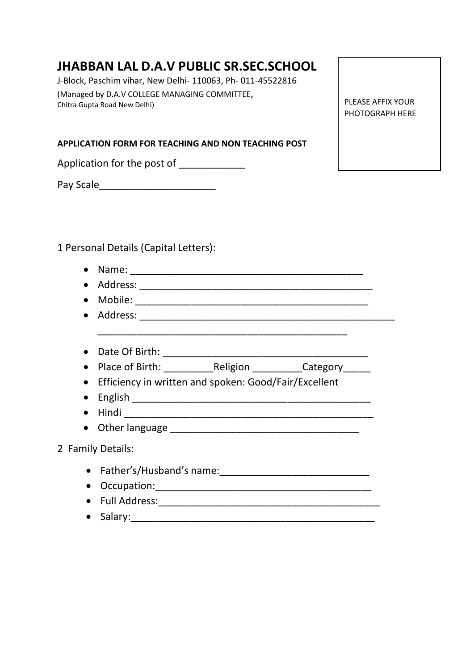# **JHABBAN LAL D.A.V PUBLIC SR.SEC.SCHOOL**

J-Block, Paschim vihar, New Delhi- 110063, Ph- 011-45522816 (Managed by D.A.V COLLEGE MANAGING COMMITTEE, Chitra Gupta Road New Delhi)

**APPLICATION FORM FOR TEACHING AND NON TEACHING POST** 

Application for the post of

Pay Scale\_\_\_\_\_\_\_\_\_\_\_\_\_\_\_\_\_\_\_\_\_

1 Personal Details (Capital Letters):

- Name: \_\_\_\_\_\_\_\_\_\_\_\_\_\_\_\_\_\_\_\_\_\_\_\_\_\_\_\_\_\_\_\_\_\_\_\_\_\_\_\_\_\_ • Address: \_\_\_\_\_\_\_\_\_\_\_\_\_\_\_\_\_\_\_\_\_\_\_\_\_\_\_\_\_\_\_\_\_\_\_\_\_\_\_\_\_\_ • Mobile: \_\_\_\_\_\_\_\_\_\_\_\_\_\_\_\_\_\_\_\_\_\_\_\_\_\_\_\_\_\_\_\_\_\_\_\_\_\_\_\_\_\_ • Address: \_\_\_\_\_\_\_\_\_\_\_\_\_\_\_\_\_\_\_\_\_\_\_\_\_\_\_\_\_\_\_\_\_\_\_\_\_\_\_\_\_\_\_\_\_\_
- Date Of Birth: \_\_\_\_\_\_\_\_\_\_\_\_\_\_\_\_\_\_\_\_\_\_\_\_\_\_\_\_\_\_\_\_\_\_\_\_\_
- Place of Birth: \_\_\_\_\_\_\_\_\_\_\_\_\_\_Religion \_\_\_\_\_\_\_\_\_\_\_\_Category\_\_\_\_\_\_\_
- Efficiency in written and spoken: Good/Fair/Excellent

\_\_\_\_\_\_\_\_\_\_\_\_\_\_\_\_\_\_\_\_\_\_\_\_\_\_\_\_\_\_\_\_\_\_\_\_\_\_\_\_\_\_\_\_\_

- English \_\_\_\_\_\_\_\_\_\_\_\_\_\_\_\_\_\_\_\_\_\_\_\_\_\_\_\_\_\_\_\_\_\_\_\_\_\_\_\_\_\_\_
- Hindi \_\_\_\_\_\_\_\_\_\_\_\_\_\_\_\_\_\_\_\_\_\_\_\_\_\_\_\_\_\_\_\_\_\_\_\_\_\_\_\_\_\_\_\_\_
- Other language  $\frac{1}{2}$  of  $\frac{1}{2}$  of  $\frac{1}{2}$  of  $\frac{1}{2}$  of  $\frac{1}{2}$  of  $\frac{1}{2}$  or  $\frac{1}{2}$  or  $\frac{1}{2}$  or  $\frac{1}{2}$  or  $\frac{1}{2}$  or  $\frac{1}{2}$  or  $\frac{1}{2}$  or  $\frac{1}{2}$  or  $\frac{1}{2}$  or  $\frac{1}{2}$  or  $\frac{1}{2}$

2 Family Details:

- Father's/Husband's name:\_\_\_\_\_\_\_\_\_\_\_\_\_\_\_\_\_\_\_\_\_\_\_\_\_\_\_
- Occupation:\_\_\_\_\_\_\_\_\_\_\_\_\_\_\_\_\_\_\_\_\_\_\_\_\_\_\_\_\_\_\_\_\_\_\_\_\_\_\_
- Full Address:\_\_\_\_\_\_\_\_\_\_\_\_\_\_\_\_\_\_\_\_\_\_\_\_\_\_\_\_\_\_\_\_\_\_\_\_\_\_\_\_
- Salary:\_\_\_\_\_\_\_\_\_\_\_\_\_\_\_\_\_\_\_\_\_\_\_\_\_\_\_\_\_\_\_\_\_\_\_\_\_\_\_\_\_\_\_\_

PLEASE AFFIX YOUR PHOTOGRAPH HERE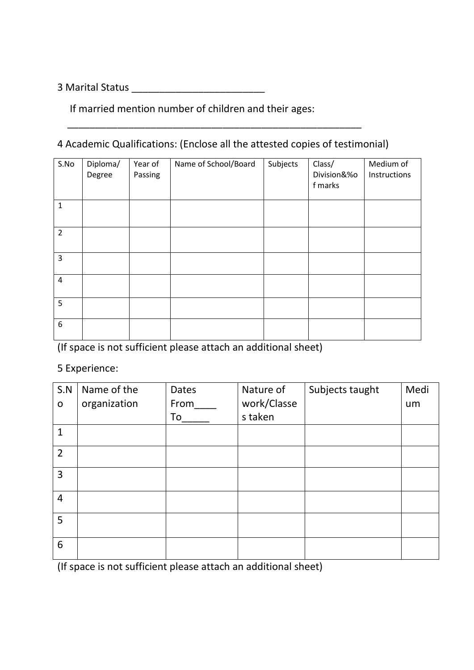3 Marital Status \_\_\_\_\_\_\_\_\_\_\_\_\_\_\_\_\_\_\_\_\_\_\_\_

If married mention number of children and their ages:

## 4 Academic Qualifications: (Enclose all the attested copies of testimonial)

\_\_\_\_\_\_\_\_\_\_\_\_\_\_\_\_\_\_\_\_\_\_\_\_\_\_\_\_\_\_\_\_\_\_\_\_\_\_\_\_\_\_\_\_\_\_\_\_\_\_\_\_\_

| S.No           | Diploma/<br>Degree | Year of<br>Passing | Name of School/Board | Subjects | Class/<br>Division&%o<br>f marks | Medium of<br>Instructions |
|----------------|--------------------|--------------------|----------------------|----------|----------------------------------|---------------------------|
| $\mathbf{1}$   |                    |                    |                      |          |                                  |                           |
| $\overline{2}$ |                    |                    |                      |          |                                  |                           |
| 3              |                    |                    |                      |          |                                  |                           |
| $\pmb{4}$      |                    |                    |                      |          |                                  |                           |
| 5              |                    |                    |                      |          |                                  |                           |
| 6              |                    |                    |                      |          |                                  |                           |

(If space is not sufficient please attach an additional sheet)

## 5 Experience:

| S.N            | Name of the  | <b>Dates</b> | Nature of   | Subjects taught | Medi |
|----------------|--------------|--------------|-------------|-----------------|------|
| $\mathbf O$    | organization | From         | work/Classe |                 | um   |
|                |              | To           | s taken     |                 |      |
| $\mathbf{1}$   |              |              |             |                 |      |
| $\overline{2}$ |              |              |             |                 |      |
| 3              |              |              |             |                 |      |
| 4              |              |              |             |                 |      |
| 5              |              |              |             |                 |      |
| 6              |              |              |             |                 |      |

(If space is not sufficient please attach an additional sheet)